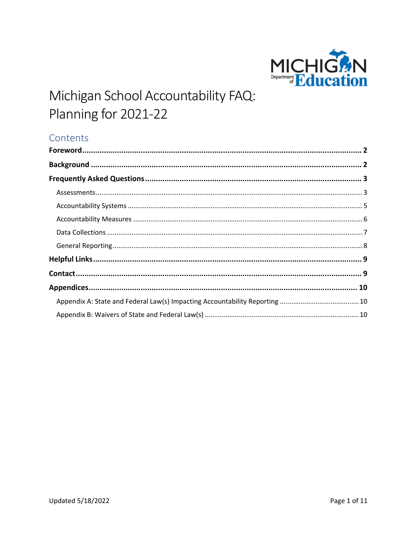

# Contents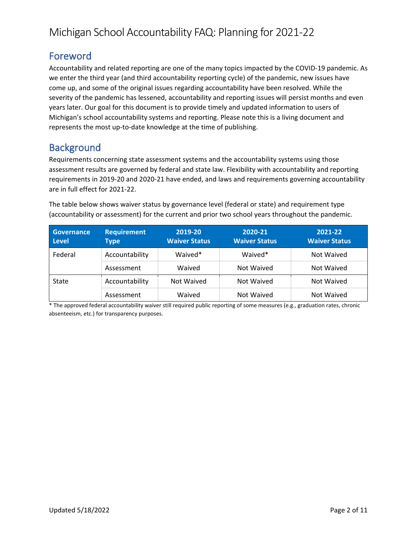# <span id="page-1-0"></span>Foreword

Accountability and related reporting are one of the many topics impacted by the COVID-19 pandemic. As we enter the third year (and third accountability reporting cycle) of the pandemic, new issues have come up, and some of the original issues regarding accountability have been resolved. While the severity of the pandemic has lessened, accountability and reporting issues will persist months and even years later. Our goal for this document is to provide timely and updated information to users of Michigan's school accountability systems and reporting. Please note this is a living document and represents the most up-to-date knowledge at the time of publishing.

# <span id="page-1-1"></span>**Background**

Requirements concerning state assessment systems and the accountability systems using those assessment results are governed by federal and state law. Flexibility with accountability and reporting requirements in 2019-20 and 2020-21 have ended, and laws and requirements governing accountability are in full effect for 2021-22.

The table below shows waiver status by governance level (federal or state) and requirement type (accountability or assessment) for the current and prior two school years throughout the pandemic.

| <b>Governance</b><br><b>Level</b> | <b>Requirement</b><br><b>Type</b> | 2019-20<br><b>Waiver Status</b> | 2020-21<br><b>Waiver Status</b> | 2021-22<br><b>Waiver Status</b> |
|-----------------------------------|-----------------------------------|---------------------------------|---------------------------------|---------------------------------|
| Federal                           | Accountability                    | Waived*                         | Waived*                         | Not Waived                      |
|                                   | Assessment                        | Waived                          | Not Waived                      | Not Waived                      |
| <b>State</b>                      | Accountability                    | Not Waived                      | Not Waived                      | Not Waived                      |
|                                   | Assessment                        | Waived                          | Not Waived                      | Not Waived                      |

\* The approved federal accountability waiver still required public reporting of some measures (e.g., graduation rates, chronic absenteeism, etc.) for transparency purposes.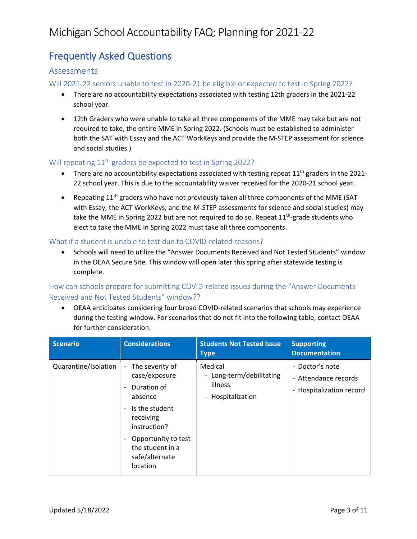# <span id="page-2-0"></span>Frequently Asked Questions

### <span id="page-2-1"></span>Assessments

Will 2021-22 seniors unable to test in 2020-21 be eligible or expected to test in Spring 2022?

- There are no accountability expectations associated with testing 12th graders in the 2021-22 school year.
- 12th Graders who were unable to take all three components of the MME may take but are not required to take, the entire MME in Spring 2022. (Schools must be established to administer both the SAT with Essay and the ACT WorkKeys and provide the M-STEP assessment for science and social studies.)

### Will repeating 11<sup>th</sup> graders be expected to test in Spring 2022?

- There are no accountability expectations associated with testing repeat  $11<sup>th</sup>$  graders in the 2021-22 school year. This is due to the accountability waiver received for the 2020-21 school year.
- Repeating 11<sup>th</sup> graders who have not previously taken all three components of the MME (SAT with Essay, the ACT WorkKeys, and the M-STEP assessments for science and social studies) may take the MME in Spring 2022 but are not required to do so. Repeat 11<sup>th</sup>-grade students who elect to take the MME in Spring 2022 must take all three components.

#### What if a student is unable to test due to COVID-related reasons?

• Schools will need to utilize the "Answer Documents Received and Not Tested Students" window in the OEAA Secure Site. This window will open later this spring after statewide testing is complete.

How can schools prepare for submitting COVID-related issues during the "Answer Documents Received and Not Tested Students" window??

• OEAA anticipates considering four broad COVID-related scenarios that schools may experience during the testing window. For scenarios that do not fit into the following table, contact OEAA for further consideration.

| <b>Scenario</b>      | <b>Considerations</b>                                                                                                                                                                                                                                                                    | <b>Students Not Tested Issue</b><br><b>Type</b>                     | <b>Supporting</b><br><b>Documentation</b>                           |
|----------------------|------------------------------------------------------------------------------------------------------------------------------------------------------------------------------------------------------------------------------------------------------------------------------------------|---------------------------------------------------------------------|---------------------------------------------------------------------|
| Quarantine/Isolation | The severity of<br>$\blacksquare$<br>case/exposure<br>Duration of<br>$\overline{\phantom{a}}$<br>absence<br>Is the student<br>$\overline{\phantom{a}}$<br>receiving<br>instruction?<br>Opportunity to test<br>$\overline{\phantom{a}}$<br>the student in a<br>safe/alternate<br>location | Medical<br>- Long-term/debilitating<br>illness<br>- Hospitalization | - Doctor's note<br>- Attendance records<br>- Hospitalization record |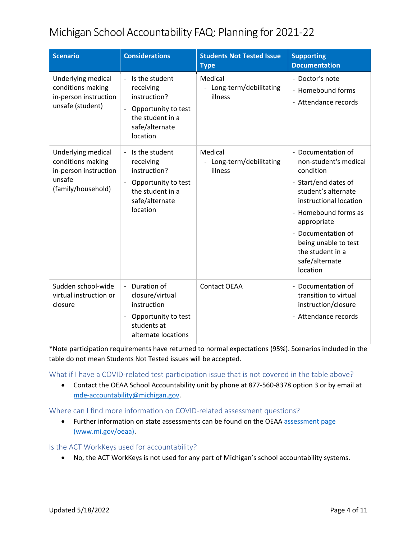| <b>Scenario</b>                                                                                  | <b>Considerations</b>                                                                                                                              | <b>Students Not Tested Issue</b><br><b>Type</b> | <b>Supporting</b><br><b>Documentation</b>                                                                                                                                                                                                                                |
|--------------------------------------------------------------------------------------------------|----------------------------------------------------------------------------------------------------------------------------------------------------|-------------------------------------------------|--------------------------------------------------------------------------------------------------------------------------------------------------------------------------------------------------------------------------------------------------------------------------|
| Underlying medical<br>conditions making<br>in-person instruction<br>unsafe (student)             | Is the student<br>$\overline{\phantom{a}}$<br>receiving<br>instruction?<br>Opportunity to test<br>the student in a<br>safe/alternate<br>location   | Medical<br>- Long-term/debilitating<br>illness  | - Doctor's note<br>- Homebound forms<br>- Attendance records                                                                                                                                                                                                             |
| Underlying medical<br>conditions making<br>in-person instruction<br>unsafe<br>(family/household) | - Is the student<br>receiving<br>instruction?<br>Opportunity to test<br>$\overline{\phantom{a}}$<br>the student in a<br>safe/alternate<br>location | Medical<br>- Long-term/debilitating<br>illness  | - Documentation of<br>non-student's medical<br>condition<br>- Start/end dates of<br>student's alternate<br>instructional location<br>- Homebound forms as<br>appropriate<br>- Documentation of<br>being unable to test<br>the student in a<br>safe/alternate<br>location |
| Sudden school-wide<br>virtual instruction or<br>closure                                          | Duration of<br>closure/virtual<br>instruction<br>Opportunity to test<br>$\overline{\phantom{a}}$<br>students at<br>alternate locations             | <b>Contact OEAA</b>                             | - Documentation of<br>transition to virtual<br>instruction/closure<br>- Attendance records                                                                                                                                                                               |

\*Note participation requirements have returned to normal expectations (95%). Scenarios included in the table do not mean Students Not Tested issues will be accepted.

What if I have a COVID-related test participation issue that is not covered in the table above?

• Contact the OEAA School Accountability unit by phone at 877-560-8378 option 3 or by email at [mde-accountability@michigan.gov.](mailto:mde-accountability@michigan.gov)

Where can I find more information on COVID-related assessment questions?

• Further information on state assessments can be found on the OEAA [assessment page](http://www.mi.gov/oeaa) [\(www.mi.gov/oeaa\)](http://www.mi.gov/oeaa).

Is the ACT WorkKeys used for accountability?

• No, the ACT WorkKeys is not used for any part of Michigan's school accountability systems.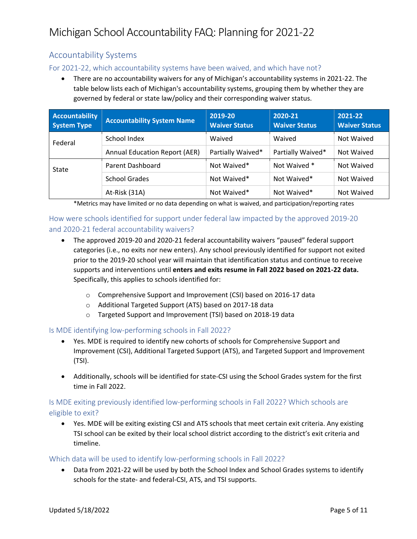## <span id="page-4-0"></span>Accountability Systems

### For 2021-22, which accountability systems have been waived, and which have not?

• There are no accountability waivers for any of Michigan's accountability systems in 2021-22. The table below lists each of Michigan's accountability systems, grouping them by whether they are governed by federal or state law/policy and their corresponding waiver status.

| <b>Accountability</b><br><b>System Type</b> | <b>Accountability System Name</b>    | 2019-20<br><b>Waiver Status</b> | 2020-21<br><b>Waiver Status</b> | 2021-22<br><b>Waiver Status</b> |
|---------------------------------------------|--------------------------------------|---------------------------------|---------------------------------|---------------------------------|
| Federal                                     | School Index                         | Waived                          | Waived                          | Not Waived                      |
|                                             | <b>Annual Education Report (AER)</b> | Partially Waived*               | Partially Waived*               | Not Waived                      |
| State                                       | Parent Dashboard                     | Not Waived*                     | Not Waived *                    | Not Waived                      |
|                                             | <b>School Grades</b>                 | Not Waived*                     | Not Waived*                     | Not Waived                      |
|                                             | At-Risk (31A)                        | Not Waived*                     | Not Waived*                     | Not Waived                      |

\*Metrics may have limited or no data depending on what is waived, and participation/reporting rates

## How were schools identified for support under federal law impacted by the approved 2019-20 and 2020-21 federal accountability waivers?

- The approved 2019-20 and 2020-21 federal accountability waivers "paused" federal support categories (i.e., no exits nor new enters). Any school previously identified for support not exited prior to the 2019-20 school year will maintain that identification status and continue to receive supports and interventions until **enters and exits resume in Fall 2022 based on 2021-22 data.** Specifically, this applies to schools identified for:
	- o Comprehensive Support and Improvement (CSI) based on 2016-17 data
	- o Additional Targeted Support (ATS) based on 2017-18 data
	- o Targeted Support and Improvement (TSI) based on 2018-19 data

### Is MDE identifying low-performing schools in Fall 2022?

- Yes. MDE is required to identify new cohorts of schools for Comprehensive Support and Improvement (CSI), Additional Targeted Support (ATS), and Targeted Support and Improvement (TSI).
- Additionally, schools will be identified for state-CSI using the School Grades system for the first time in Fall 2022.

### Is MDE exiting previously identified low-performing schools in Fall 2022? Which schools are eligible to exit?

• Yes. MDE will be exiting existing CSI and ATS schools that meet certain exit criteria. Any existing TSI school can be exited by their local school district according to the district's exit criteria and timeline.

#### Which data will be used to identify low-performing schools in Fall 2022?

• Data from 2021-22 will be used by both the School Index and School Grades systems to identify schools for the state- and federal-CSI, ATS, and TSI supports.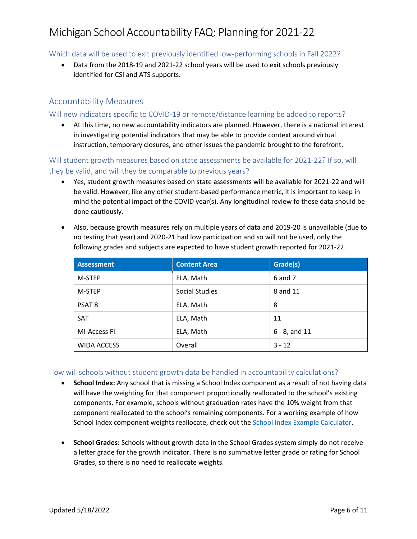Which data will be used to exit previously identified low-performing schools in Fall 2022?

• Data from the 2018-19 and 2021-22 school years will be used to exit schools previously identified for CSI and ATS supports.

## <span id="page-5-0"></span>Accountability Measures

### Will new indicators specific to COVID-19 or remote/distance learning be added to reports?

• At this time, no new accountability indicators are planned. However, there is a national interest in investigating potential indicators that may be able to provide context around virtual instruction, temporary closures, and other issues the pandemic brought to the forefront.

Will student growth measures based on state assessments be available for 2021-22? If so, will they be valid, and will they be comparable to previous years?

• Yes, student growth measures based on state assessments will be available for 2021-22 and will be valid. However, like any other student-based performance metric, it is important to keep in mind the potential impact of the COVID year(s). Any longitudinal review fo these data should be done cautiously.

| <b>Assessment</b>  | <b>Content Area</b> | Grade(s)         |
|--------------------|---------------------|------------------|
| M-STEP             | ELA, Math           | 6 and 7          |
| M-STEP             | Social Studies      | 8 and 11         |
| PSAT 8             | ELA, Math           | 8                |
| SAT                | ELA, Math           | 11               |
| MI-Access FI       | ELA, Math           | $6 - 8$ , and 11 |
| <b>WIDA ACCESS</b> | Overall             | $3 - 12$         |

• Also, because growth measures rely on multiple years of data and 2019-20 is unavailable (due to no testing that year) and 2020-21 had low participation and so will not be used, only the following grades and subjects are expected to have student growth reported for 2021-22.

How will schools without student growth data be handled in accountability calculations?

- **School Index:** Any school that is missing a School Index component as a result of not having data will have the weighting for that component proportionally reallocated to the school's existing components. For example, schools without graduation rates have the 10% weight from that component reallocated to the school's remaining components. For a working example of how School Index component weights reallocate, check out the [School Index Example Calculator.](https://www.michigan.gov/mde/-/media/Project/Websites/mde/Year/2019/12/01/Michigan_School_Index_Example_Calculator.xlsx)
- **School Grades:** Schools without growth data in the School Grades system simply do not receive a letter grade for the growth indicator. There is no summative letter grade or rating for School Grades, so there is no need to reallocate weights.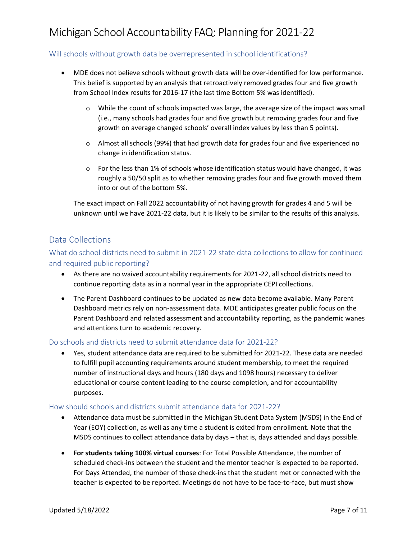#### Will schools without growth data be overrepresented in school identifications?

- MDE does not believe schools without growth data will be over-identified for low performance. This belief is supported by an analysis that retroactively removed grades four and five growth from School Index results for 2016-17 (the last time Bottom 5% was identified).
	- o While the count of schools impacted was large, the average size of the impact was small (i.e., many schools had grades four and five growth but removing grades four and five growth on average changed schools' overall index values by less than 5 points).
	- $\circ$  Almost all schools (99%) that had growth data for grades four and five experienced no change in identification status.
	- $\circ$  For the less than 1% of schools whose identification status would have changed, it was roughly a 50/50 split as to whether removing grades four and five growth moved them into or out of the bottom 5%.

The exact impact on Fall 2022 accountability of not having growth for grades 4 and 5 will be unknown until we have 2021-22 data, but it is likely to be similar to the results of this analysis.

## <span id="page-6-0"></span>Data Collections

## What do school districts need to submit in 2021-22 state data collections to allow for continued and required public reporting?

- As there are no waived accountability requirements for 2021-22, all school districts need to continue reporting data as in a normal year in the appropriate CEPI collections.
- The Parent Dashboard continues to be updated as new data become available. Many Parent Dashboard metrics rely on non-assessment data. MDE anticipates greater public focus on the Parent Dashboard and related assessment and accountability reporting, as the pandemic wanes and attentions turn to academic recovery.

#### Do schools and districts need to submit attendance data for 2021-22?

• Yes, student attendance data are required to be submitted for 2021-22. These data are needed to fulfill pupil accounting requirements around student membership, to meet the required number of instructional days and hours (180 days and 1098 hours) necessary to deliver educational or course content leading to the course completion, and for accountability purposes.

#### How should schools and districts submit attendance data for 2021-22?

- Attendance data must be submitted in the Michigan Student Data System (MSDS) in the End of Year (EOY) collection, as well as any time a student is exited from enrollment. Note that the MSDS continues to collect attendance data by days – that is, days attended and days possible.
- **For students taking 100% virtual courses**: For Total Possible Attendance, the number of scheduled check-ins between the student and the mentor teacher is expected to be reported. For Days Attended, the number of those check-ins that the student met or connected with the teacher is expected to be reported. Meetings do not have to be face-to-face, but must show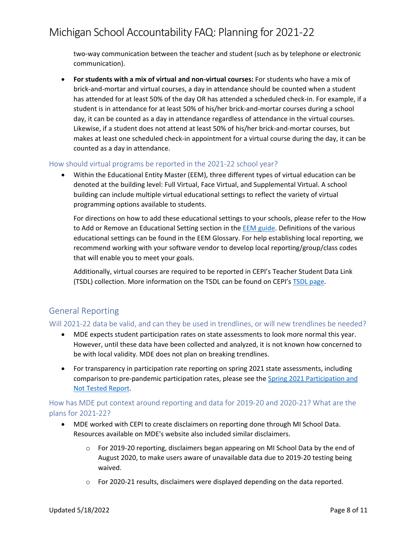two-way communication between the teacher and student (such as by telephone or electronic communication).

• **For students with a mix of virtual and non-virtual courses:** For students who have a mix of brick-and-mortar and virtual courses, a day in attendance should be counted when a student has attended for at least 50% of the day OR has attended a scheduled check-in. For example, if a student is in attendance for at least 50% of his/her brick-and-mortar courses during a school day, it can be counted as a day in attendance regardless of attendance in the virtual courses. Likewise, if a student does not attend at least 50% of his/her brick-and-mortar courses, but makes at least one scheduled check-in appointment for a virtual course during the day, it can be counted as a day in attendance.

#### How should virtual programs be reported in the 2021-22 school year?

• Within the Educational Entity Master (EEM), three different types of virtual education can be denoted at the building level: Full Virtual, Face Virtual, and Supplemental Virtual. A school building can include multiple virtual educational settings to reflect the variety of virtual programming options available to students.

For directions on how to add these educational settings to your schools, please refer to the How to Add or Remove an Educational Setting section in th[e EEM guide.](http://www.michigan.gov/documents/cepi/EEM_user_guide_251563_7.pdf) Definitions of the various educational settings can be found in the EEM Glossary. For help establishing local reporting, we recommend working with your software vendor to develop local reporting/group/class codes that will enable you to meet your goals.

Additionally, virtual courses are required to be reported in CEPI's Teacher Student Data Link (TSDL) collection. More information on the TSDL can be found on CEPI's [TSDL page.](https://www.michigan.gov/cepi/pk-12/msds/tsdl)

## <span id="page-7-0"></span>General Reporting

#### Will 2021-22 data be valid, and can they be used in trendlines, or will new trendlines be needed?

- MDE expects student participation rates on state assessments to look more normal this year. However, until these data have been collected and analyzed, it is not known how concerned to be with local validity. MDE does not plan on breaking trendlines.
- For transparency in participation rate reporting on spring 2021 state assessments, including comparison to pre-pandemic participation rates, please see the [Spring 2021 Participation and](https://www.michigan.gov/mde/-/media/Project/Websites/mde/OEAA/Accountability/General/Spring-2021-Participation-and-Not-Tested-Report.xlsx)  [Not Tested Report.](https://www.michigan.gov/mde/-/media/Project/Websites/mde/OEAA/Accountability/General/Spring-2021-Participation-and-Not-Tested-Report.xlsx)

### How has MDE put context around reporting and data for 2019-20 and 2020-21? What are the plans for 2021-22?

- MDE worked with CEPI to create disclaimers on reporting done through MI School Data. Resources available on MDE's website also included similar disclaimers.
	- $\circ$  For 2019-20 reporting, disclaimers began appearing on MI School Data by the end of August 2020, to make users aware of unavailable data due to 2019-20 testing being waived.
	- $\circ$  For 2020-21 results, disclaimers were displayed depending on the data reported.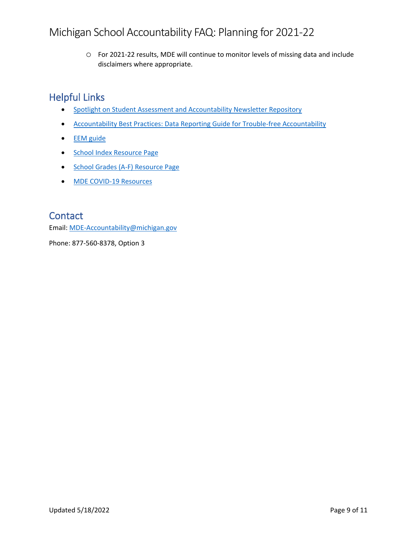o For 2021-22 results, MDE will continue to monitor levels of missing data and include disclaimers where appropriate.

# <span id="page-8-0"></span>Helpful Links

- [Spotlight on Student Assessment and Accountability Newsletter Repository](https://www.michigan.gov/mde-spotlight)
- [Accountability Best Practices: Data Reporting Guide for Trouble-free Accountability](https://www.michigan.gov/documents/mde/Accountability_Best_Practices_625027_7.pdf)
- [EEM guide](http://www.michigan.gov/documents/cepi/EEM_user_guide_251563_7.pdf)
- [School Index Resource Page](https://www.michigan.gov/mde-schoolindex)
- [School Grades \(A-F\) Resource Page](https://www.michigan.gov/mde-schoolgrades)
- [MDE COVID-19 Resources](https://www.michigan.gov/mde/0,4615,7-140-37818_53456---,00.html)

# <span id="page-8-1"></span>**Contact**

Email: [MDE-Accountability@michigan.gov](mailto:MDE-Accountability@michigan.gov)

Phone: 877-560-8378, Option 3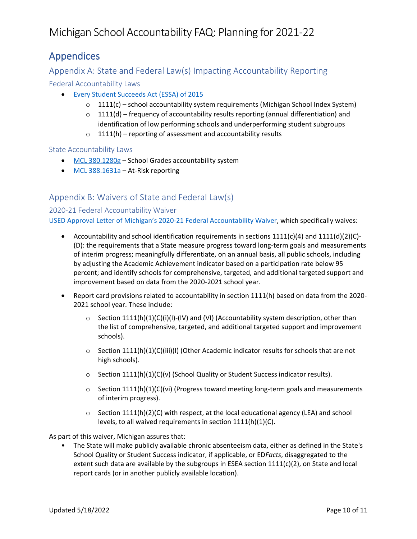# <span id="page-9-0"></span>Appendices

## <span id="page-9-1"></span>Appendix A: State and Federal Law(s) Impacting Accountability Reporting

Federal Accountability Laws

- [Every Student Succeeds Act \(ESSA\) of 2015](https://www.congress.gov/114/plaws/publ95/PLAW-114publ95.pdf)
	- $\circ$  1111(c) school accountability system requirements (Michigan School Index System)
	- $\circ$  1111(d) frequency of accountability results reporting (annual differentiation) and identification of low performing schools and underperforming student subgroups
	- $o$  1111(h) reporting of assessment and accountability results

### State Accountability Laws

- [MCL 380.1280g](http://legislature.mi.gov/doc.aspx?mcl-380-1280g) School Grades accountability system
- [MCL 388.1631a](http://legislature.mi.gov/doc.aspx?mcl-act-94-of-1979) At-Risk reporting

## <span id="page-9-2"></span>Appendix B: Waivers of State and Federal Law(s)

### 2020-21 Federal Accountability Waiver

USED Approval Letter of Michigan's [2020-21 Federal Accountability Waiver,](https://oese.ed.gov/files/2021/03/mi-acct-waiver-response-1.pdf) which specifically waives:

- Accountability and school identification requirements in sections  $1111(c)(4)$  and  $1111(d)(2)(C)$ -(D): the requirements that a State measure progress toward long-term goals and measurements of interim progress; meaningfully differentiate, on an annual basis, all public schools, including by adjusting the Academic Achievement indicator based on a participation rate below 95 percent; and identify schools for comprehensive, targeted, and additional targeted support and improvement based on data from the 2020-2021 school year.
- Report card provisions related to accountability in section 1111(h) based on data from the 2020- 2021 school year. These include:
	- $\circ$  Section 1111(h)(1)(C)(i)(I)-(IV) and (VI) (Accountability system description, other than the list of comprehensive, targeted, and additional targeted support and improvement schools).
	- $\circ$  Section 1111(h)(1)(C)(iii)(I) (Other Academic indicator results for schools that are not high schools).
	- o Section 1111(h)(1)(C)(v) (School Quality or Student Success indicator results).
	- $\circ$  Section 1111(h)(1)(C)(vi) (Progress toward meeting long-term goals and measurements of interim progress).
	- $\circ$  Section 1111(h)(2)(C) with respect, at the local educational agency (LEA) and school levels, to all waived requirements in section 1111(h)(1)(C).

As part of this waiver, Michigan assures that:

• The State will make publicly available chronic absenteeism data, either as defined in the State's School Quality or Student Success indicator, if applicable, or ED*Facts*, disaggregated to the extent such data are available by the subgroups in ESEA section  $1111(c)(2)$ , on State and local report cards (or in another publicly available location).